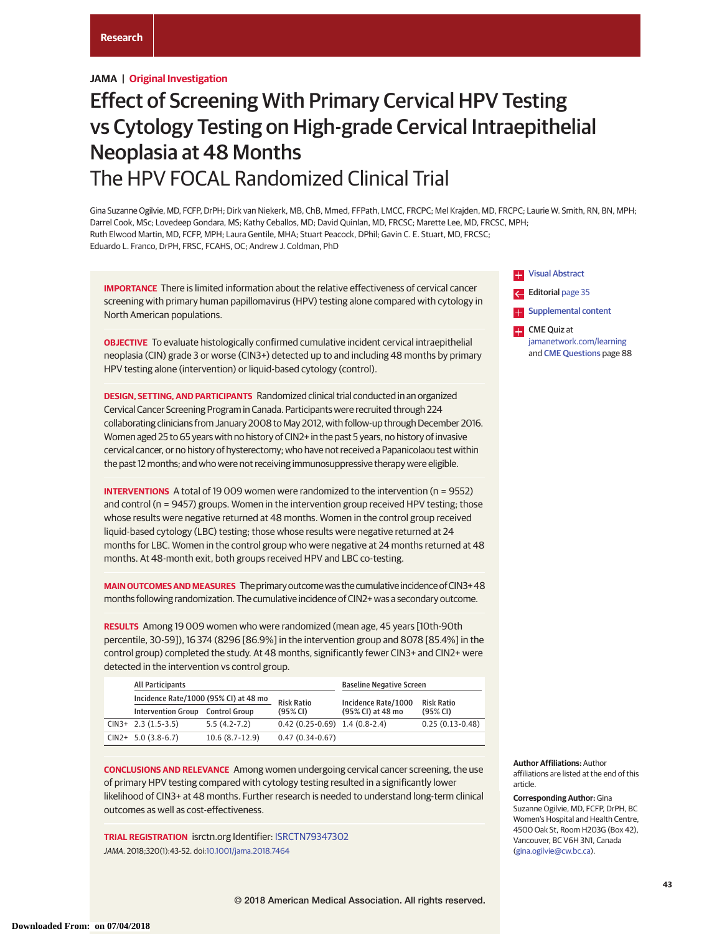# **JAMA | Original Investigation**

# Effect of Screening With Primary Cervical HPV Testing vs Cytology Testing on High-grade Cervical Intraepithelial Neoplasia at 48 Months The HPV FOCAL Randomized Clinical Trial

Gina Suzanne Ogilvie, MD, FCFP, DrPH; Dirk van Niekerk, MB, ChB, Mmed, FFPath, LMCC, FRCPC; Mel Krajden, MD, FRCPC; Laurie W. Smith, RN, BN, MPH; Darrel Cook, MSc; Lovedeep Gondara, MS; Kathy Ceballos, MD; David Quinlan, MD, FRCSC; Marette Lee, MD, FRCSC, MPH; Ruth Elwood Martin, MD, FCFP, MPH; Laura Gentile, MHA; Stuart Peacock, DPhil; Gavin C. E. Stuart, MD, FRCSC; Eduardo L. Franco, DrPH, FRSC, FCAHS, OC; Andrew J. Coldman, PhD

**IMPORTANCE** There is limited information about the relative effectiveness of cervical cancer screening with primary human papillomavirus (HPV) testing alone compared with cytology in North American populations.

**OBJECTIVE** To evaluate histologically confirmed cumulative incident cervical intraepithelial neoplasia (CIN) grade 3 or worse (CIN3+) detected up to and including 48 months by primary HPV testing alone (intervention) or liquid-based cytology (control).

**DESIGN, SETTING, AND PARTICIPANTS** Randomized clinical trial conducted in an organized Cervical Cancer Screening Program in Canada. Participants were recruited through 224 collaborating clinicians from January 2008 to May 2012, with follow-up through December 2016. Women aged 25 to 65 years with no history of CIN2+ in the past 5 years, no history of invasive cervical cancer, or no history of hysterectomy; who have not received a Papanicolaou test within the past 12 months; and who were not receiving immunosuppressive therapy were eligible.

**INTERVENTIONS** A total of 19 009 women were randomized to the intervention (n = 9552) and control (n = 9457) groups. Women in the intervention group received HPV testing; those whose results were negative returned at 48 months. Women in the control group received liquid-based cytology (LBC) testing; those whose results were negative returned at 24 months for LBC. Women in the control group who were negative at 24 months returned at 48 months. At 48-month exit, both groups received HPV and LBC co-testing.

**MAIN OUTCOMES AND MEASURES** The primary outcome was the cumulative incidence of CIN3+48 months following randomization. The cumulative incidence of CIN2+ was a secondary outcome.

**RESULTS** Among 19 009 women who were randomized (mean age, 45 years [10th-90th percentile, 30-59]), 16 374 (8296 [86.9%] in the intervention group and 8078 [85.4%] in the control group) completed the study. At 48 months, significantly fewer CIN3+ and CIN2+ were detected in the intervention vs control group.

| <b>All Participants</b>               |                      |                                   | <b>Baseline Negative Screen</b> |                   |
|---------------------------------------|----------------------|-----------------------------------|---------------------------------|-------------------|
| Incidence Rate/1000 (95% CI) at 48 mo |                      | <b>Risk Ratio</b>                 | Incidence Rate/1000             | <b>Risk Ratio</b> |
| <b>Intervention Group</b>             | <b>Control Group</b> | (95% CI)                          | (95% CI) at 48 mo               | $(95%$ CI)        |
| $CIN3+2.3(1.5-3.5)$                   | $5.5(4.2-7.2)$       | $0.42(0.25-0.69)$ 1.4 $(0.8-2.4)$ |                                 | $0.25(0.13-0.48)$ |
| $CIN2+ 5.0 (3.8-6.7)$                 | $10.6(8.7-12.9)$     | $0.47(0.34-0.67)$                 |                                 |                   |

**CONCLUSIONS AND RELEVANCE** Among women undergoing cervical cancer screening, the use of primary HPV testing compared with cytology testing resulted in a significantly lower likelihood of CIN3+ at 48 months. Further research is needed to understand long-term clinical outcomes as well as cost-effectiveness.

**TRIAL REGISTRATION** isrctn.org Identifier: [ISRCTN79347302](http://www.isrctn.com/ISRCTN79347302) JAMA. 2018;320(1):43-52. doi[:10.1001/jama.2018.7464](https://jama.jamanetwork.com/article.aspx?doi=10.1001/jama.2018.7464&utm_campaign=articlePDF%26utm_medium=articlePDFlink%26utm_source=articlePDF%26utm_content=jama.2018.7464)



**Author Affiliations:** Author affiliations are listed at the end of this article.

**Corresponding Author:** Gina Suzanne Ogilvie, MD, FCFP, DrPH, BC Women's Hospital and Health Centre, 4500 Oak St, Room H203G (Box 42), Vancouver, BC V6H 3N1, Canada [\(gina.ogilvie@cw.bc.ca\)](mailto:gina.ogilvie@cw.bc.ca).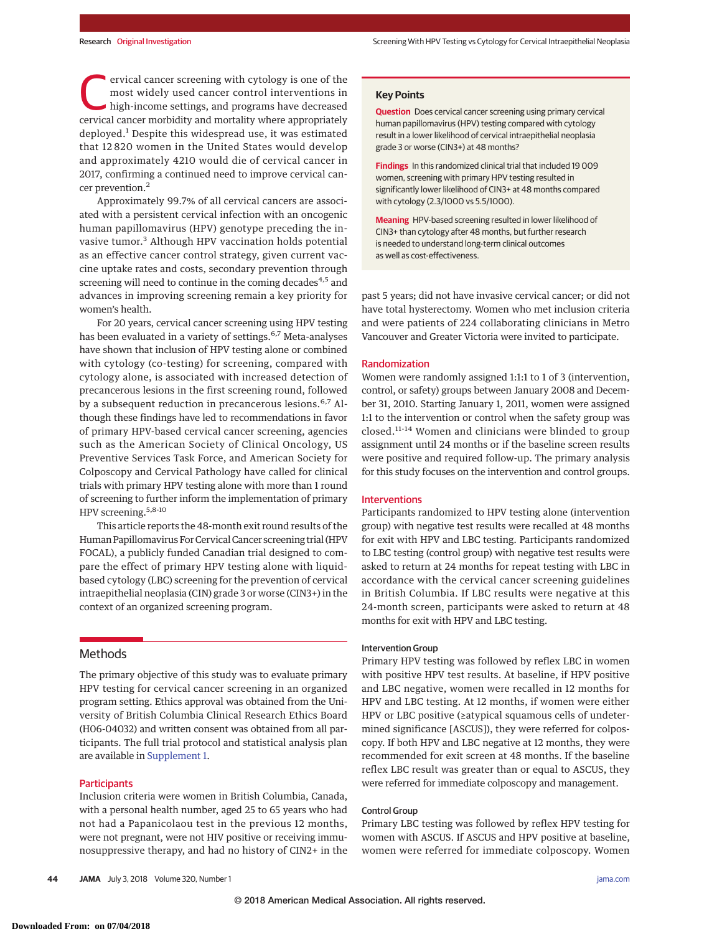ervical cancer screening with cytology is one of the<br>most widely used cancer control interventions in<br>high-income settings, and programs have decreased<br>corvical cancer morbidity and mortality where appropriately most widely used cancer control interventions in cervical cancer morbidity and mortality where appropriately deployed.<sup>1</sup> Despite this widespread use, it was estimated that 12 820 women in the United States would develop and approximately 4210 would die of cervical cancer in 2017, confirming a continued need to improve cervical cancer prevention.<sup>2</sup>

Approximately 99.7% of all cervical cancers are associated with a persistent cervical infection with an oncogenic human papillomavirus (HPV) genotype preceding the invasive tumor.<sup>3</sup> Although HPV vaccination holds potential as an effective cancer control strategy, given current vaccine uptake rates and costs, secondary prevention through screening will need to continue in the coming decades $4,5$  and advances in improving screening remain a key priority for women's health.

For 20 years, cervical cancer screening using HPV testing has been evaluated in a variety of settings.<sup>6,7</sup> Meta-analyses have shown that inclusion of HPV testing alone or combined with cytology (co-testing) for screening, compared with cytology alone, is associated with increased detection of precancerous lesions in the first screening round, followed by a subsequent reduction in precancerous lesions.<sup>6,7</sup> Although these findings have led to recommendations in favor of primary HPV-based cervical cancer screening, agencies such as the American Society of Clinical Oncology, US Preventive Services Task Force, and American Society for Colposcopy and Cervical Pathology have called for clinical trials with primary HPV testing alone with more than 1 round of screening to further inform the implementation of primary HPV screening.5,8-10

This article reports the 48-month exit round results of the Human Papillomavirus For Cervical Cancer screening trial (HPV FOCAL), a publicly funded Canadian trial designed to compare the effect of primary HPV testing alone with liquidbased cytology (LBC) screening for the prevention of cervical intraepithelial neoplasia (CIN) grade 3 or worse (CIN3+) in the context of an organized screening program.

# Methods

The primary objective of this study was to evaluate primary HPV testing for cervical cancer screening in an organized program setting. Ethics approval was obtained from the University of British Columbia Clinical Research Ethics Board (H06-04032) and written consent was obtained from all participants. The full trial protocol and statistical analysis plan are available in [Supplement 1.](https://jama.jamanetwork.com/article.aspx?doi=10.1001/jama.2018.7464&utm_campaign=articlePDF%26utm_medium=articlePDFlink%26utm_source=articlePDF%26utm_content=jama.2018.7464)

#### **Participants**

Inclusion criteria were women in British Columbia, Canada, with a personal health number, aged 25 to 65 years who had not had a Papanicolaou test in the previous 12 months, were not pregnant, were not HIV positive or receiving immunosuppressive therapy, and had no history of CIN2+ in the **Question** Does cervical cancer screening using primary cervical human papillomavirus (HPV) testing compared with cytology result in a lower likelihood of cervical intraepithelial neoplasia grade 3 or worse (CIN3+) at 48 months?

**Findings** In this randomized clinical trial that included 19 009 women, screening with primary HPV testing resulted in significantly lower likelihood of CIN3+ at 48 months compared with cytology (2.3/1000 vs 5.5/1000).

**Meaning** HPV-based screening resulted in lower likelihood of CIN3+ than cytology after 48 months, but further research is needed to understand long-term clinical outcomes as well as cost-effectiveness.

past 5 years; did not have invasive cervical cancer; or did not have total hysterectomy. Women who met inclusion criteria and were patients of 224 collaborating clinicians in Metro Vancouver and Greater Victoria were invited to participate.

## Randomization

Women were randomly assigned 1:1:1 to 1 of 3 (intervention, control, or safety) groups between January 2008 and December 31, 2010. Starting January 1, 2011, women were assigned 1:1 to the intervention or control when the safety group was closed.11-14 Women and clinicians were blinded to group assignment until 24 months or if the baseline screen results were positive and required follow-up. The primary analysis for this study focuses on the intervention and control groups.

## **Interventions**

Participants randomized to HPV testing alone (intervention group) with negative test results were recalled at 48 months for exit with HPV and LBC testing. Participants randomized to LBC testing (control group) with negative test results were asked to return at 24 months for repeat testing with LBC in accordance with the cervical cancer screening guidelines in British Columbia. If LBC results were negative at this 24-month screen, participants were asked to return at 48 months for exit with HPV and LBC testing.

#### Intervention Group

Primary HPV testing was followed by reflex LBC in women with positive HPV test results. At baseline, if HPV positive and LBC negative, women were recalled in 12 months for HPV and LBC testing. At 12 months, if women were either HPV or LBC positive (≥atypical squamous cells of undetermined significance [ASCUS]), they were referred for colposcopy. If both HPV and LBC negative at 12 months, they were recommended for exit screen at 48 months. If the baseline reflex LBC result was greater than or equal to ASCUS, they were referred for immediate colposcopy and management.

#### Control Group

Primary LBC testing was followed by reflex HPV testing for women with ASCUS. If ASCUS and HPV positive at baseline, women were referred for immediate colposcopy. Women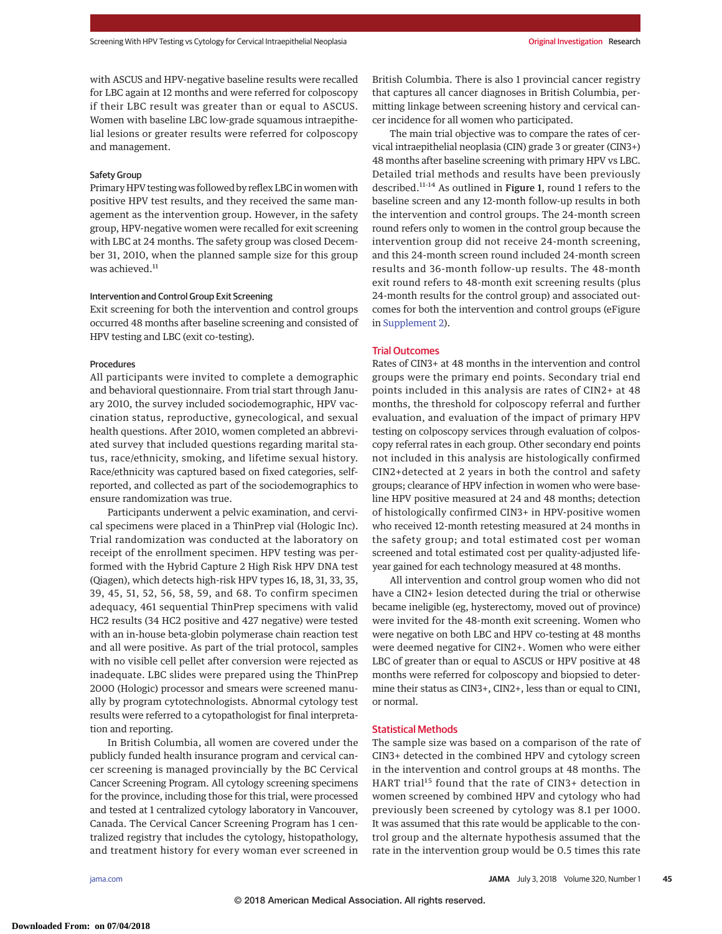with ASCUS and HPV-negative baseline results were recalled for LBC again at 12 months and were referred for colposcopy if their LBC result was greater than or equal to ASCUS. Women with baseline LBC low-grade squamous intraepithelial lesions or greater results were referred for colposcopy and management.

## Safety Group

Primary HPV testing was followed by reflex LBC in women with positive HPV test results, and they received the same management as the intervention group. However, in the safety group, HPV-negative women were recalled for exit screening with LBC at 24 months. The safety group was closed December 31, 2010, when the planned sample size for this group was achieved.<sup>11</sup>

# Intervention and Control Group Exit Screening

Exit screening for both the intervention and control groups occurred 48 months after baseline screening and consisted of HPV testing and LBC (exit co-testing).

## Procedures

All participants were invited to complete a demographic and behavioral questionnaire. From trial start through January 2010, the survey included sociodemographic, HPV vaccination status, reproductive, gynecological, and sexual health questions. After 2010, women completed an abbreviated survey that included questions regarding marital status, race/ethnicity, smoking, and lifetime sexual history. Race/ethnicity was captured based on fixed categories, selfreported, and collected as part of the sociodemographics to ensure randomization was true.

Participants underwent a pelvic examination, and cervical specimens were placed in a ThinPrep vial (Hologic Inc). Trial randomization was conducted at the laboratory on receipt of the enrollment specimen. HPV testing was performed with the Hybrid Capture 2 High Risk HPV DNA test (Qiagen), which detects high-risk HPV types 16, 18, 31, 33, 35, 39, 45, 51, 52, 56, 58, 59, and 68. To confirm specimen adequacy, 461 sequential ThinPrep specimens with valid HC2 results (34 HC2 positive and 427 negative) were tested with an in-house beta-globin polymerase chain reaction test and all were positive. As part of the trial protocol, samples with no visible cell pellet after conversion were rejected as inadequate. LBC slides were prepared using the ThinPrep 2000 (Hologic) processor and smears were screened manually by program cytotechnologists. Abnormal cytology test results were referred to a cytopathologist for final interpretation and reporting.

In British Columbia, all women are covered under the publicly funded health insurance program and cervical cancer screening is managed provincially by the BC Cervical Cancer Screening Program. All cytology screening specimens for the province, including those for this trial, were processed and tested at 1 centralized cytology laboratory in Vancouver, Canada. The Cervical Cancer Screening Program has 1 centralized registry that includes the cytology, histopathology, and treatment history for every woman ever screened in

British Columbia. There is also 1 provincial cancer registry that captures all cancer diagnoses in British Columbia, permitting linkage between screening history and cervical cancer incidence for all women who participated.

The main trial objective was to compare the rates of cervical intraepithelial neoplasia (CIN) grade 3 or greater (CIN3+) 48 months after baseline screening with primary HPV vs LBC. Detailed trial methods and results have been previously described.<sup>11-14</sup> As outlined in Figure 1, round 1 refers to the baseline screen and any 12-month follow-up results in both the intervention and control groups. The 24-month screen round refers only to women in the control group because the intervention group did not receive 24-month screening, and this 24-month screen round included 24-month screen results and 36-month follow-up results. The 48-month exit round refers to 48-month exit screening results (plus 24-month results for the control group) and associated outcomes for both the intervention and control groups (eFigure in [Supplement 2\)](https://jama.jamanetwork.com/article.aspx?doi=10.1001/jama.2018.7464&utm_campaign=articlePDF%26utm_medium=articlePDFlink%26utm_source=articlePDF%26utm_content=jama.2018.7464).

## Trial Outcomes

Rates of CIN3+ at 48 months in the intervention and control groups were the primary end points. Secondary trial end points included in this analysis are rates of CIN2+ at 48 months, the threshold for colposcopy referral and further evaluation, and evaluation of the impact of primary HPV testing on colposcopy services through evaluation of colposcopy referral rates in each group. Other secondary end points not included in this analysis are histologically confirmed CIN2+detected at 2 years in both the control and safety groups; clearance of HPV infection in women who were baseline HPV positive measured at 24 and 48 months; detection of histologically confirmed CIN3+ in HPV-positive women who received 12-month retesting measured at 24 months in the safety group; and total estimated cost per woman screened and total estimated cost per quality-adjusted lifeyear gained for each technology measured at 48 months.

All intervention and control group women who did not have a CIN2+ lesion detected during the trial or otherwise became ineligible (eg, hysterectomy, moved out of province) were invited for the 48-month exit screening. Women who were negative on both LBC and HPV co-testing at 48 months were deemed negative for CIN2+. Women who were either LBC of greater than or equal to ASCUS or HPV positive at 48 months were referred for colposcopy and biopsied to determine their status as CIN3+, CIN2+, less than or equal to CIN1, or normal.

## Statistical Methods

The sample size was based on a comparison of the rate of CIN3+ detected in the combined HPV and cytology screen in the intervention and control groups at 48 months. The HART trial<sup>15</sup> found that the rate of CIN3+ detection in women screened by combined HPV and cytology who had previously been screened by cytology was 8.1 per 1000. It was assumed that this rate would be applicable to the control group and the alternate hypothesis assumed that the rate in the intervention group would be 0.5 times this rate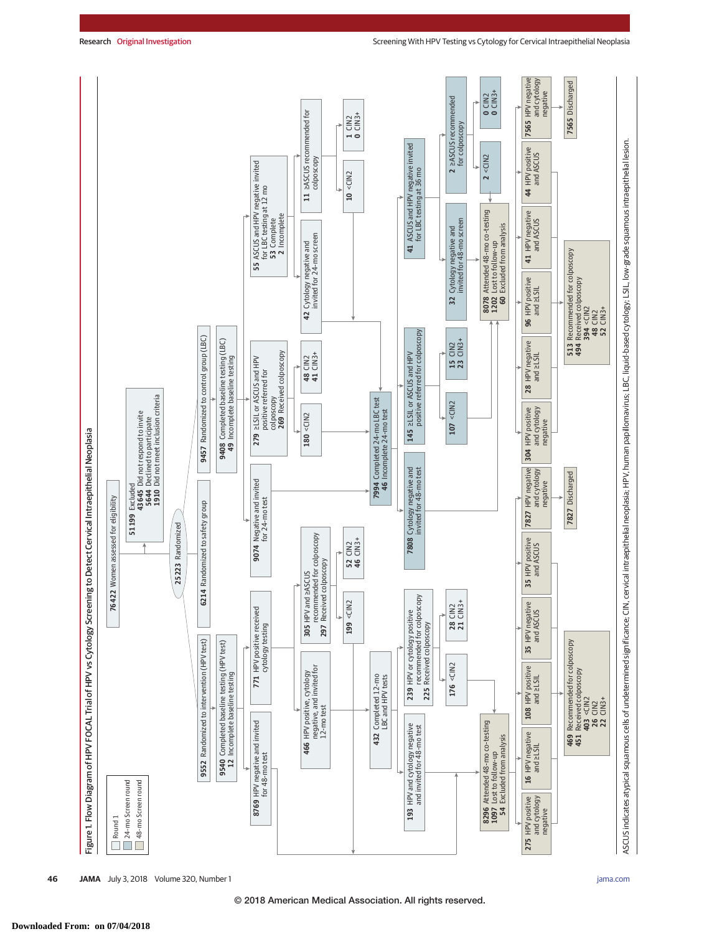

**46 JAMA** July 3, 2018 Volume 320, Number 1 **(Reprinted)** [jama.com](http://www.jama.com/?utm_campaign=articlePDF%26utm_medium=articlePDFlink%26utm_source=articlePDF%26utm_content=jama.2018.7464)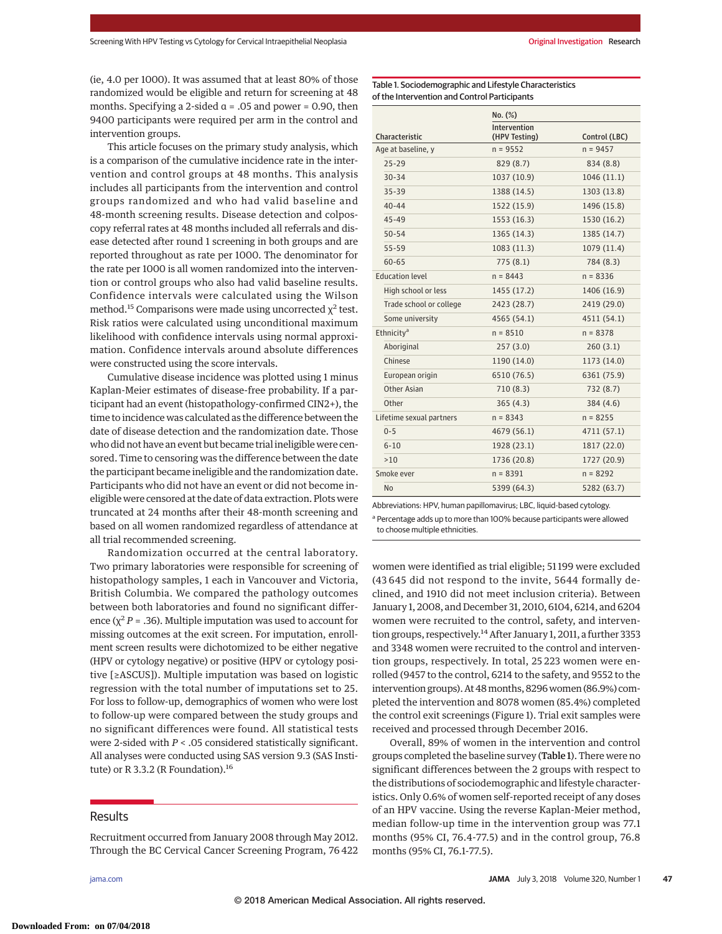(ie, 4.0 per 1000). It was assumed that at least 80% of those randomized would be eligible and return for screening at 48 months. Specifying a 2-sided  $\alpha$  = .05 and power = 0.90, then 9400 participants were required per arm in the control and intervention groups.

This article focuses on the primary study analysis, which is a comparison of the cumulative incidence rate in the intervention and control groups at 48 months. This analysis includes all participants from the intervention and control groups randomized and who had valid baseline and 48-month screening results. Disease detection and colposcopy referral rates at 48 months included all referrals and disease detected after round 1 screening in both groups and are reported throughout as rate per 1000. The denominator for the rate per 1000 is all women randomized into the intervention or control groups who also had valid baseline results. Confidence intervals were calculated using the Wilson method.<sup>15</sup> Comparisons were made using uncorrected  $\chi^2$  test. Risk ratios were calculated using unconditional maximum likelihood with confidence intervals using normal approximation. Confidence intervals around absolute differences were constructed using the score intervals.

Cumulative disease incidence was plotted using 1 minus Kaplan-Meier estimates of disease-free probability. If a participant had an event (histopathology-confirmed CIN2+), the time to incidence was calculated as the difference between the date of disease detection and the randomization date. Those who did not have an event but became trial ineligible were censored. Time to censoring was the difference between the date the participant became ineligible and the randomization date. Participants who did not have an event or did not become ineligible were censored at the date of data extraction. Plots were truncated at 24 months after their 48-month screening and based on all women randomized regardless of attendance at all trial recommended screening.

Randomization occurred at the central laboratory. Two primary laboratories were responsible for screening of histopathology samples, 1 each in Vancouver and Victoria, British Columbia. We compared the pathology outcomes between both laboratories and found no significant difference ( $\chi^2 P$  = .36). Multiple imputation was used to account for missing outcomes at the exit screen. For imputation, enrollment screen results were dichotomized to be either negative (HPV or cytology negative) or positive (HPV or cytology positive [≥ASCUS]). Multiple imputation was based on logistic regression with the total number of imputations set to 25. For loss to follow-up, demographics of women who were lost to follow-up were compared between the study groups and no significant differences were found. All statistical tests were 2-sided with *P* < .05 considered statistically significant. All analyses were conducted using SAS version 9.3 (SAS Institute) or R 3.3.2 (R Foundation).<sup>16</sup>

# **Results**

Recruitment occurred from January 2008 through May 2012. Through the BC Cervical Cancer Screening Program, 76 422

Table 1. Sociodemographic and Lifestyle Characteristics of the Intervention and Control Participants

|                          | No. (%)                       |               |
|--------------------------|-------------------------------|---------------|
| Characteristic           | Intervention<br>(HPV Testing) | Control (LBC) |
| Age at baseline, y       | $n = 9552$                    | $n = 9457$    |
| $25 - 29$                | 829 (8.7)                     | 834 (8.8)     |
| $30 - 34$                | 1037 (10.9)                   | 1046 (11.1)   |
| $35 - 39$                | 1388 (14.5)                   | 1303 (13.8)   |
| $40 - 44$                | 1522 (15.9)                   | 1496 (15.8)   |
| $45 - 49$                | 1553 (16.3)                   | 1530 (16.2)   |
| $50 - 54$                | 1365 (14.3)                   | 1385 (14.7)   |
| 55-59                    | 1083 (11.3)                   | 1079 (11.4)   |
| $60 - 65$                | 775(8.1)                      | 784 (8.3)     |
| <b>Education level</b>   | $n = 8443$                    | $n = 8336$    |
| High school or less      | 1455 (17.2)                   | 1406 (16.9)   |
| Trade school or college  | 2423 (28.7)                   | 2419 (29.0)   |
| Some university          | 4565 (54.1)                   | 4511 (54.1)   |
| Ethnicity <sup>a</sup>   | $n = 8510$                    | $n = 8378$    |
| Aboriginal               | 257(3.0)                      | 260(3.1)      |
| Chinese                  | 1190 (14.0)                   | 1173 (14.0)   |
| European origin          | 6510 (76.5)                   | 6361 (75.9)   |
| Other Asian              | 710(8.3)                      | 732 (8.7)     |
| Other                    | 365(4.3)                      | 384(4.6)      |
| Lifetime sexual partners | $n = 8343$                    | $n = 8255$    |
| $0 - 5$                  | 4679 (56.1)                   | 4711 (57.1)   |
| $6 - 10$                 | 1928 (23.1)                   | 1817 (22.0)   |
| >10                      | 1736 (20.8)                   | 1727 (20.9)   |
| Smoke ever               | $n = 8391$                    | $n = 8292$    |
| No                       | 5399 (64.3)                   | 5282 (63.7)   |

Abbreviations: HPV, human papillomavirus; LBC, liquid-based cytology.

<sup>a</sup> Percentage adds up to more than 100% because participants were allowed to choose multiple ethnicities.

women were identified as trial eligible; 51 199 were excluded (43 645 did not respond to the invite, 5644 formally declined, and 1910 did not meet inclusion criteria). Between January 1, 2008, and December 31, 2010, 6104, 6214, and 6204 women were recruited to the control, safety, and intervention groups, respectively.<sup>14</sup> After January 1, 2011, a further 3353 and 3348 women were recruited to the control and intervention groups, respectively. In total, 25 223 women were enrolled (9457 to the control, 6214 to the safety, and 9552 to the intervention groups). At 48 months, 8296 women (86.9%) completed the intervention and 8078 women (85.4%) completed the control exit screenings (Figure 1). Trial exit samples were received and processed through December 2016.

Overall, 89% of women in the intervention and control groups completed the baseline survey (Table 1). There were no significant differences between the 2 groups with respect to the distributions of sociodemographic and lifestyle characteristics. Only 0.6% of women self-reported receipt of any doses of an HPV vaccine. Using the reverse Kaplan-Meier method, median follow-up time in the intervention group was 77.1 months (95% CI, 76.4-77.5) and in the control group, 76.8 months (95% CI, 76.1-77.5).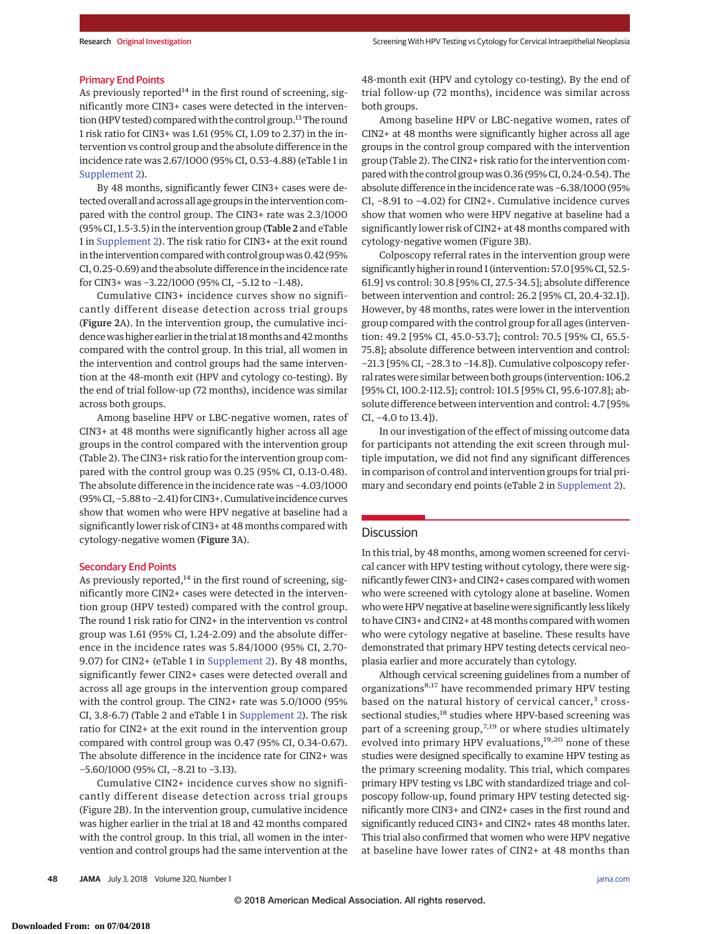#### Primary End Points

As previously reported<sup>14</sup> in the first round of screening, significantly more CIN3+ cases were detected in the intervention (HPV tested) compared with the control group.<sup>13</sup> The round 1 risk ratio for CIN3+ was 1.61 (95% CI, 1.09 to 2.37) in the intervention vs control group and the absolute difference in the incidence rate was 2.67/1000 (95% CI, 0.53-4.88) (eTable 1 in [Supplement 2\)](https://jama.jamanetwork.com/article.aspx?doi=10.1001/jama.2018.7464&utm_campaign=articlePDF%26utm_medium=articlePDFlink%26utm_source=articlePDF%26utm_content=jama.2018.7464).

By 48 months, significantly fewer CIN3+ cases were detected overall and across all age groups in the intervention compared with the control group. The CIN3+ rate was 2.3/1000 (95% CI, 1.5-3.5) in the intervention group (Table 2 and eTable 1 in [Supplement 2\)](https://jama.jamanetwork.com/article.aspx?doi=10.1001/jama.2018.7464&utm_campaign=articlePDF%26utm_medium=articlePDFlink%26utm_source=articlePDF%26utm_content=jama.2018.7464). The risk ratio for CIN3+ at the exit round in the intervention compared with control group was 0.42 (95% CI, 0.25-0.69) and the absolute difference in the incidence rate for CIN3+ was −3.22/1000 (95% CI, −5.12 to −1.48).

Cumulative CIN3+ incidence curves show no significantly different disease detection across trial groups (Figure 2A). In the intervention group, the cumulative incidence was higher earlier in the trial at 18months and 42months compared with the control group. In this trial, all women in the intervention and control groups had the same intervention at the 48-month exit (HPV and cytology co-testing). By the end of trial follow-up (72 months), incidence was similar across both groups.

Among baseline HPV or LBC-negative women, rates of CIN3+ at 48 months were significantly higher across all age groups in the control compared with the intervention group (Table 2). The CIN3+ risk ratio for the intervention group compared with the control group was 0.25 (95% CI, 0.13-0.48). The absolute difference in the incidence rate was −4.03/1000 (95% CI, −5.88 to −2.41) for CIN3+. Cumulative incidence curves show that women who were HPV negative at baseline had a significantly lower risk of CIN3+ at 48 months compared with cytology-negative women (Figure 3A).

#### Secondary End Points

As previously reported, $14$  in the first round of screening, significantly more CIN2+ cases were detected in the intervention group (HPV tested) compared with the control group. The round 1 risk ratio for CIN2+ in the intervention vs control group was 1.61 (95% CI, 1.24-2.09) and the absolute difference in the incidence rates was 5.84/1000 (95% CI, 2.70- 9.07) for CIN2+ (eTable 1 in [Supplement 2\)](https://jama.jamanetwork.com/article.aspx?doi=10.1001/jama.2018.7464&utm_campaign=articlePDF%26utm_medium=articlePDFlink%26utm_source=articlePDF%26utm_content=jama.2018.7464). By 48 months, significantly fewer CIN2+ cases were detected overall and across all age groups in the intervention group compared with the control group. The CIN2+ rate was 5.0/1000 (95% CI, 3.8-6.7) (Table 2 and eTable 1 in [Supplement 2\)](https://jama.jamanetwork.com/article.aspx?doi=10.1001/jama.2018.7464&utm_campaign=articlePDF%26utm_medium=articlePDFlink%26utm_source=articlePDF%26utm_content=jama.2018.7464). The risk ratio for CIN2+ at the exit round in the intervention group compared with control group was 0.47 (95% CI, 0.34-0.67). The absolute difference in the incidence rate for CIN2+ was −5.60/1000 (95% CI, −8.21 to −3.13).

Cumulative CIN2+ incidence curves show no significantly different disease detection across trial groups (Figure 2B). In the intervention group, cumulative incidence was higher earlier in the trial at 18 and 42 months compared with the control group. In this trial, all women in the intervention and control groups had the same intervention at the 48-month exit (HPV and cytology co-testing). By the end of trial follow-up (72 months), incidence was similar across both groups.

Among baseline HPV or LBC-negative women, rates of CIN2+ at 48 months were significantly higher across all age groups in the control group compared with the intervention group (Table 2). The CIN2+ risk ratio for the intervention compared with the control group was 0.36 (95% CI, 0.24-0.54). The absolute difference in the incidence rate was −6.38/1000 (95% CI, −8.91 to −4.02) for CIN2+. Cumulative incidence curves show that women who were HPV negative at baseline had a significantly lower risk of CIN2+ at 48 months compared with cytology-negative women (Figure 3B).

Colposcopy referral rates in the intervention group were significantly higher in round 1 (intervention: 57.0 [95% CI, 52.5- 61.9] vs control: 30.8 [95% CI, 27.5-34.5]; absolute difference between intervention and control: 26.2 [95% CI, 20.4-32.1]). However, by 48 months, rates were lower in the intervention group compared with the control group for all ages (intervention: 49.2 [95% CI, 45.0-53.7]; control: 70.5 [95% CI, 65.5- 75.8]; absolute difference between intervention and control: −21.3 [95% CI, −28.3 to −14.8]). Cumulative colposcopy referral rates were similar between both groups (intervention: 106.2 [95% CI, 100.2-112.5]; control: 101.5 [95% CI, 95.6-107.8]; absolute difference between intervention and control: 4.7 [95% CI, −4.0 to 13.4]).

In our investigation of the effect of missing outcome data for participants not attending the exit screen through multiple imputation, we did not find any significant differences in comparison of control and intervention groups for trial primary and secondary end points (eTable 2 in [Supplement 2\)](https://jama.jamanetwork.com/article.aspx?doi=10.1001/jama.2018.7464&utm_campaign=articlePDF%26utm_medium=articlePDFlink%26utm_source=articlePDF%26utm_content=jama.2018.7464).

# **Discussion**

In this trial, by 48 months, among women screened for cervical cancer with HPV testing without cytology, there were significantly fewer CIN3+ and CIN2+ cases compared with women who were screened with cytology alone at baseline. Women who were HPV negative at baseline were significantly less likely to have CIN3+ and CIN2+ at 48 months compared with women who were cytology negative at baseline. These results have demonstrated that primary HPV testing detects cervical neoplasia earlier and more accurately than cytology.

Although cervical screening guidelines from a number of organizations8,17 have recommended primary HPV testing based on the natural history of cervical cancer, $3$  crosssectional studies,<sup>18</sup> studies where HPV-based screening was part of a screening group,<sup>7,19</sup> or where studies ultimately evolved into primary HPV evaluations,<sup>19,20</sup> none of these studies were designed specifically to examine HPV testing as the primary screening modality. This trial, which compares primary HPV testing vs LBC with standardized triage and colposcopy follow-up, found primary HPV testing detected significantly more CIN3+ and CIN2+ cases in the first round and significantly reduced CIN3+ and CIN2+ rates 48 months later. This trial also confirmed that women who were HPV negative at baseline have lower rates of CIN2+ at 48 months than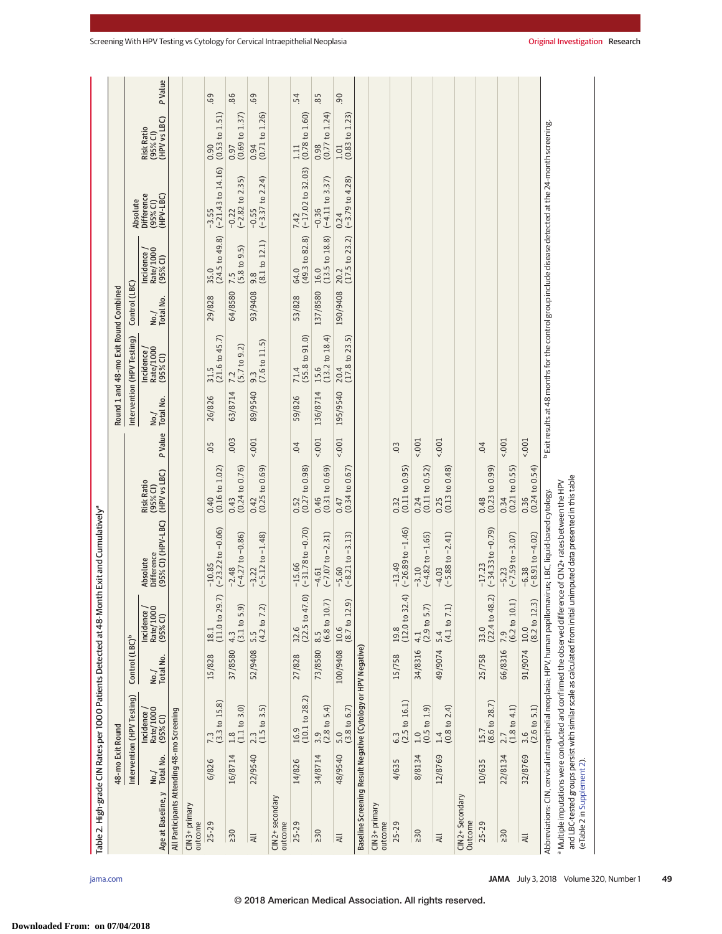|                                                                                                            |                   |                                                 |                            |                                                                | Table 2. High-grade CIN Rates per 1000 Patients Detected at 48-Month Exit and Cumulatively <sup>a</sup>                                                                                                                                                                |                                                 |                |                   |                                       |                    |                                      |                                                                                                                  |                                                          |                |
|------------------------------------------------------------------------------------------------------------|-------------------|-------------------------------------------------|----------------------------|----------------------------------------------------------------|------------------------------------------------------------------------------------------------------------------------------------------------------------------------------------------------------------------------------------------------------------------------|-------------------------------------------------|----------------|-------------------|---------------------------------------|--------------------|--------------------------------------|------------------------------------------------------------------------------------------------------------------|----------------------------------------------------------|----------------|
|                                                                                                            | 48-mo Exit Round  |                                                 |                            |                                                                |                                                                                                                                                                                                                                                                        |                                                 |                |                   | Round 1 and 48-mo Exit Round Combined |                    |                                      |                                                                                                                  |                                                          |                |
|                                                                                                            |                   | Intervention (HPV Testing)                      | Control (LBC) <sup>b</sup> |                                                                |                                                                                                                                                                                                                                                                        |                                                 |                |                   | Intervention (HPV Testing)            | Control (LBC)      |                                      | Absolute                                                                                                         |                                                          |                |
| Age at Baseline, y                                                                                         | Total No.<br>No./ | Rate/1000<br>Incidence<br>(95% <sup>o</sup> Cl) | No./<br>Total No.          | Incidence /<br>Rate/1000<br>(95% CI)                           | (95% CI) (HPV-LBC)<br>Absolute<br>Difference                                                                                                                                                                                                                           | (HPV vs LBC)<br><b>Risk Ratio</b><br>$(95%$ CI) | P Value        | No./<br>Total No. | Rate/1000<br>Incidence<br>$(95%o$ CI) | Total No.<br>No. / | Rate/1000<br>Incidence<br>$(95%$ Cl) | <b>Difference</b><br>(HPV-LBC)<br>(95% <sup>o</sup> Cl)                                                          | (HPV vs LBC)<br><b>Risk Ratio</b><br>(95% <sub>0</sub> ) | <b>P</b> Value |
| All Participants Attending 48-mo Screening                                                                 |                   |                                                 |                            |                                                                |                                                                                                                                                                                                                                                                        |                                                 |                |                   |                                       |                    |                                      |                                                                                                                  |                                                          |                |
| CIN3+ primary<br>outcome                                                                                   |                   |                                                 |                            |                                                                |                                                                                                                                                                                                                                                                        |                                                 |                |                   |                                       |                    |                                      |                                                                                                                  |                                                          |                |
| $25 - 29$                                                                                                  | 6/826             | $7.3$<br>(3.3 to 15.8)                          | 15/828                     | (11.0 to 29.7)<br>18.1                                         | $(-23.22)$ to $-0.06$ )<br>$-10.85$                                                                                                                                                                                                                                    | $(0.16 \text{ to } 1.02)$<br>0.40               | $-0.5$         | 26/826            | $(21.6 \text{ to } 45.7)$<br>31.5     | 29/828             | (24.5 to 49.8)<br>35.0               | $(-21.43$ to $14.16)$<br>$-3.55$                                                                                 | (0.53 to 1.51)<br>0.90                                   | 69             |
| $\geq 30$                                                                                                  | 16/8714           | $\frac{1.8}{(1.1 \text{ to } 3.0)}$             | 37/8580                    | (3.1 to 5.9)<br>4.3                                            | $(-4.27 to -0.86)$<br>$-2.48$                                                                                                                                                                                                                                          | (0.24 to 0.76)<br>0.43                          | .003           | 63/8714           | $7.2$<br>(5.7 to 9.2)                 | 64/8580            | $7.5$<br>(5.8 to 9.5)                | $-0.22$<br>(-2.82 to 2.35)                                                                                       | (0.69 to 1.37)<br>0.97                                   | 86             |
| $\overline{\mathsf{A}}$ ll                                                                                 | 22/9540           | $\frac{2.3}{(1.5 \text{ to } 3.5)}$             | 52/9408                    | $5.5$<br>(4.2 to 7.2)                                          | $(-5.12 \text{ to } -1.48)$<br>$-3.22$                                                                                                                                                                                                                                 | (0.25 to 0.69)<br>0.42                          | $5001 -$       | 89/9540           | $\frac{9.3}{(7.6 \text{ to } 11.5)}$  | 93/9408            | $\frac{9.8}{(8.1 \text{ to } 12.1)}$ | $-0.55$<br>(-3.37 to 2.24)                                                                                       | $0.94$<br>(0.71 to 1.26)                                 | 69             |
| CIN2+ secondary<br>outcome                                                                                 |                   |                                                 |                            |                                                                |                                                                                                                                                                                                                                                                        |                                                 |                |                   |                                       |                    |                                      |                                                                                                                  |                                                          |                |
| $25 - 29$                                                                                                  | 14/826            | (10.1 to 28.2)<br>16.9                          | 27/828                     | (22.5 to 47.0)<br>32.6                                         | $(-31.78$ to $-0.70)$<br>$-15.66$                                                                                                                                                                                                                                      | $(0.27 \text{ to } 0.98)$<br>0.52               | $-0.$          | 59/826            | (55.8 to 91.0)<br>71.4                | 53/828             | (49.3 to 82.8)<br>64.0               | $(-17.02$ to $32.03)$<br>7.42                                                                                    | (0.78 to 1.60)<br>1.11                                   | 54             |
| $\geq 30$                                                                                                  | 34/8714           | $\frac{3.9}{(2.8 \text{ to } 5.4)}$             | 73/8580 8.5                | (6.8 to 10.7)                                                  | $(-7.07 to -2.31)$<br>$-4.61$                                                                                                                                                                                                                                          | (0.31 to 0.69)<br>0.46                          | 1001           | 136/8714          | (13.2 to 18.4)<br>15.6                | 137/8580           | (13.5 to 18.8)<br>16.0               | $(-4.11$ to 3.37)<br>$-0.36$                                                                                     | (0.77 to 1.24)<br>0.98                                   | 85             |
| $\overline{a}$                                                                                             | 48/9540           | $(3.8 \text{ to } 6.7)$<br>5.0                  |                            | $\widehat{a}$<br>$100/9408$ $10.6$ $(8.7 \text{ to } 12.$      | $(-8.21 \text{ to } -3.13)$<br>$-5.60$                                                                                                                                                                                                                                 | (0.34 to 0.67)<br>0.47                          | $5001 -$       | 195/9540          | $20.4$<br>(17.8 to 23.5)              | 190/9408           | $20.2$<br>(17.5 to 23.2)             | $0.24$<br>(-3.79 to 4.28)                                                                                        | $(0.83 \text{ to } 1.23)$<br>1.01                        | 0 <sub>0</sub> |
| Baseline Screening Result Negative (Cytology or HPV Negative)                                              |                   |                                                 |                            |                                                                |                                                                                                                                                                                                                                                                        |                                                 |                |                   |                                       |                    |                                      |                                                                                                                  |                                                          |                |
| CIN3+ primary<br>outcome                                                                                   |                   |                                                 |                            |                                                                |                                                                                                                                                                                                                                                                        |                                                 |                |                   |                                       |                    |                                      |                                                                                                                  |                                                          |                |
| $25 - 29$                                                                                                  | 4/635             | $(2.5 \text{ to } 16.1)$<br>6.3                 | 15/758                     | (12.0 to 32.4)<br>19.8                                         | $(-26.89 to -1.46)$<br>$-13.49$                                                                                                                                                                                                                                        | (0.11 to 0.95)<br>0.32                          | 0 <sup>3</sup> |                   |                                       |                    |                                      |                                                                                                                  |                                                          |                |
| $\geq 30$                                                                                                  | 8/8134            | $\frac{1.0}{(0.5 \text{ to } 1.9)}$             | 34/8316                    | $4.1$<br>(2.9 to 5.7)                                          | $(-4.82 to -1.65)$<br>$-3.10$                                                                                                                                                                                                                                          | (0.11 to 0.52)<br>0.24                          | 5001           |                   |                                       |                    |                                      |                                                                                                                  |                                                          |                |
| $\overline{4}$                                                                                             | 12/8769           | $\frac{1.4}{(0.8 \text{ to } 2.4)}$             |                            | 49/9074 5.4<br>(4.1 to 7.1)                                    | $-4.03$<br>(-5.88 to -2.41)                                                                                                                                                                                                                                            | (0.13 to 0.48)<br>0.25                          | 5001           |                   |                                       |                    |                                      |                                                                                                                  |                                                          |                |
| CIN2+ Secondary<br>Outcome                                                                                 |                   |                                                 |                            |                                                                |                                                                                                                                                                                                                                                                        |                                                 |                |                   |                                       |                    |                                      |                                                                                                                  |                                                          |                |
| $25 - 29$                                                                                                  | 10/635            | $(8.6 \text{ to } 28.7)$<br>15.7                | 25/758                     | $\begin{array}{c} 33.0 \\ (22.4 \text{ to } 48.2) \end{array}$ | $(-34.33$ to $-0.79$ )<br>$-17.23$                                                                                                                                                                                                                                     | (0.23 to 0.99)<br>0.48                          | 04             |                   |                                       |                    |                                      |                                                                                                                  |                                                          |                |
| $\geq 30$                                                                                                  | 22/8134           | $\frac{2.7}{(1.8 \text{ to } 4.1)}$             | 66/8316                    | $7.9$<br>(6.2 to 10.1)                                         | $-5.23$<br>$(-7.59$ to $-3.07)$                                                                                                                                                                                                                                        | (0.21 to 0.55)<br>0.34                          | 5001           |                   |                                       |                    |                                      |                                                                                                                  |                                                          |                |
| $\overline{4}$                                                                                             | 32/8769           | $\frac{3.6}{(2.6 \text{ to } 5.1)}$             |                            | $\overline{3}$<br>$91/9074$ 10.0<br>(8.2 to 12.                | $-6.38$<br>$(-8.91 \text{ to } -4.02)$                                                                                                                                                                                                                                 | $(0.24 \text{ to } 0.54)$<br>0.36               | $5001 -$       |                   |                                       |                    |                                      |                                                                                                                  |                                                          |                |
| and LBC-tested groups persist with similar scale as calculated from initial<br>(eTable 2 in Supplement 2). |                   |                                                 |                            |                                                                | unimputed data presented in this table<br>Multiple imputations were conducted and confirmed the observed difference of CIN2+ rates between the HPV "<br>Abbreviations: CIN, cervical intraepithelial neoplasia; HPV, human papillomavirus; LBC, liquid-based cytology. |                                                 |                |                   |                                       |                    |                                      | <sup>b</sup> Exit results at 48 months for the control group include disease detected at the 24-month screening. |                                                          |                |
|                                                                                                            |                   |                                                 |                            |                                                                |                                                                                                                                                                                                                                                                        |                                                 |                |                   |                                       |                    |                                      |                                                                                                                  |                                                          |                |

**Downloaded From: on 07/04/2018**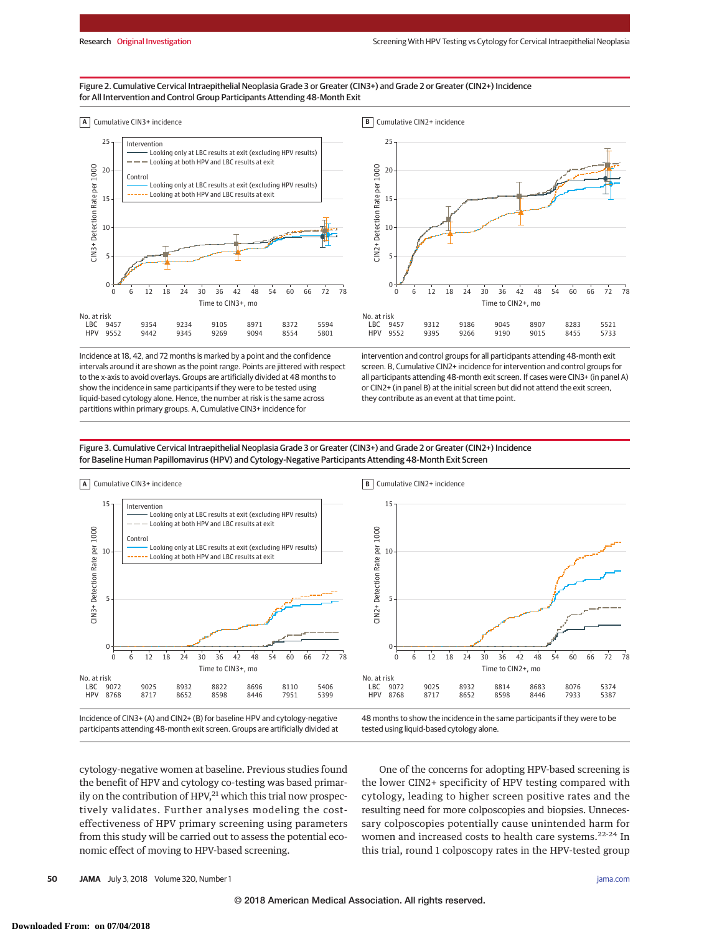## Figure 2. Cumulative Cervical Intraepithelial Neoplasia Grade 3 or Greater (CIN3+) and Grade 2 or Greater (CIN2+) Incidence for All Intervention and Control Group Participants Attending 48-Month Exit





Incidence at 18, 42, and 72 months is marked by a point and the confidence intervals around it are shown as the point range. Points are jittered with respect to the x-axis to avoid overlays. Groups are artificially divided at 48 months to show the incidence in same participants if they were to be tested using liquid-based cytology alone. Hence, the number at risk is the same across partitions within primary groups. A, Cumulative CIN3+ incidence for

intervention and control groups for all participants attending 48-month exit screen. B, Cumulative CIN2+ incidence for intervention and control groups for all participants attending 48-month exit screen. If cases were CIN3+ (in panel A) or CIN2+ (in panel B) at the initial screen but did not attend the exit screen, they contribute as an event at that time point.

Figure 3. Cumulative Cervical Intraepithelial Neoplasia Grade 3 or Greater (CIN3+) and Grade 2 or Greater (CIN2+) Incidence for Baseline Human Papillomavirus (HPV) and Cytology-Negative Participants Attending 48-Month Exit Screen



Incidence of CIN3+ (A) and CIN2+ (B) for baseline HPV and cytology-negative participants attending 48-month exit screen. Groups are artificially divided at 48 months to show the incidence in the same participants if they were to be tested using liquid-based cytology alone.

cytology-negative women at baseline. Previous studies found the benefit of HPV and cytology co-testing was based primarily on the contribution of  $HPV<sub>1</sub><sup>21</sup>$  which this trial now prospectively validates. Further analyses modeling the costeffectiveness of HPV primary screening using parameters from this study will be carried out to assess the potential economic effect of moving to HPV-based screening.

One of the concerns for adopting HPV-based screening is the lower CIN2+ specificity of HPV testing compared with cytology, leading to higher screen positive rates and the resulting need for more colposcopies and biopsies. Unnecessary colposcopies potentially cause unintended harm for women and increased costs to health care systems.<sup>22-24</sup> In this trial, round 1 colposcopy rates in the HPV-tested group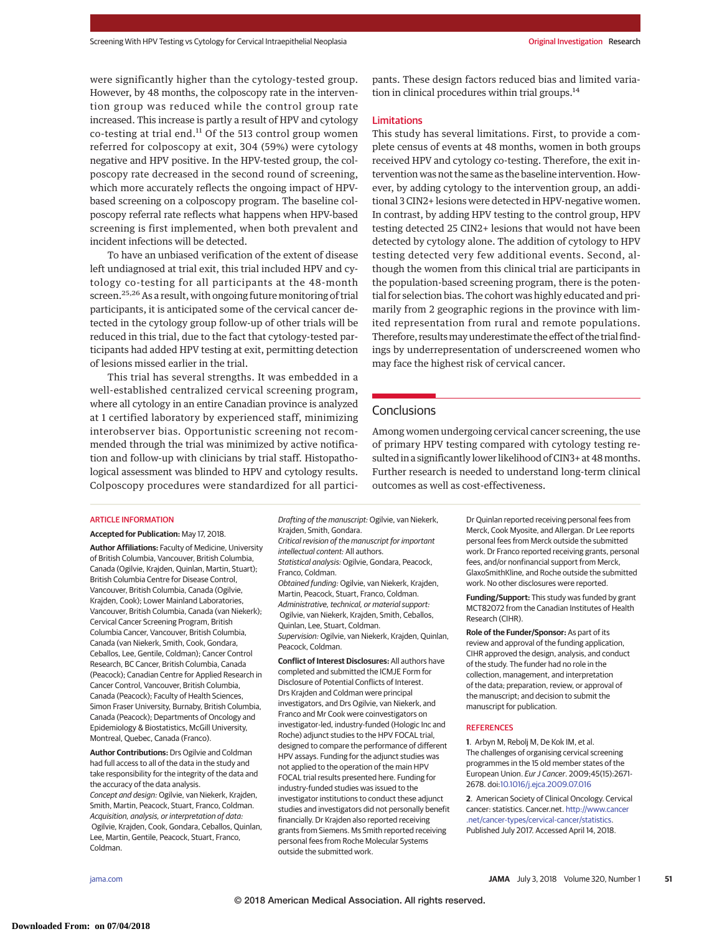were significantly higher than the cytology-tested group. However, by 48 months, the colposcopy rate in the intervention group was reduced while the control group rate increased. This increase is partly a result of HPV and cytology co-testing at trial end.<sup>11</sup> Of the 513 control group women referred for colposcopy at exit, 304 (59%) were cytology negative and HPV positive. In the HPV-tested group, the colposcopy rate decreased in the second round of screening, which more accurately reflects the ongoing impact of HPVbased screening on a colposcopy program. The baseline colposcopy referral rate reflects what happens when HPV-based screening is first implemented, when both prevalent and incident infections will be detected.

To have an unbiased verification of the extent of disease left undiagnosed at trial exit, this trial included HPV and cytology co-testing for all participants at the 48-month screen.<sup>25,26</sup> As a result, with ongoing future monitoring of trial participants, it is anticipated some of the cervical cancer detected in the cytology group follow-up of other trials will be reduced in this trial, due to the fact that cytology-tested participants had added HPV testing at exit, permitting detection of lesions missed earlier in the trial.

This trial has several strengths. It was embedded in a well-established centralized cervical screening program, where all cytology in an entire Canadian province is analyzed at 1 certified laboratory by experienced staff, minimizing interobserver bias. Opportunistic screening not recommended through the trial was minimized by active notification and follow-up with clinicians by trial staff. Histopathological assessment was blinded to HPV and cytology results. Colposcopy procedures were standardized for all participants. These design factors reduced bias and limited variation in clinical procedures within trial groups. $^{14}$ 

## Limitations

This study has several limitations. First, to provide a complete census of events at 48 months, women in both groups received HPV and cytology co-testing. Therefore, the exit intervention was not the same as the baseline intervention. However, by adding cytology to the intervention group, an additional 3 CIN2+ lesions were detected in HPV-negative women. In contrast, by adding HPV testing to the control group, HPV testing detected 25 CIN2+ lesions that would not have been detected by cytology alone. The addition of cytology to HPV testing detected very few additional events. Second, although the women from this clinical trial are participants in the population-based screening program, there is the potential for selection bias. The cohort was highly educated and primarily from 2 geographic regions in the province with limited representation from rural and remote populations. Therefore, results may underestimate the effect of the trial findings by underrepresentation of underscreened women who may face the highest risk of cervical cancer.

# **Conclusions**

Among women undergoing cervical cancer screening, the use of primary HPV testing compared with cytology testing resulted in a significantly lower likelihood of CIN3+ at 48months. Further research is needed to understand long-term clinical outcomes as well as cost-effectiveness.

#### ARTICLE INFORMATION

**Accepted for Publication:** May 17, 2018.

**Author Affiliations:** Faculty of Medicine, University of British Columbia, Vancouver, British Columbia, Canada (Ogilvie, Krajden, Quinlan, Martin, Stuart); British Columbia Centre for Disease Control, Vancouver, British Columbia, Canada (Ogilvie, Krajden, Cook); Lower Mainland Laboratories, Vancouver, British Columbia, Canada (van Niekerk); Cervical Cancer Screening Program, British Columbia Cancer, Vancouver, British Columbia, Canada (van Niekerk, Smith, Cook, Gondara, Ceballos, Lee, Gentile, Coldman); Cancer Control Research, BC Cancer, British Columbia, Canada (Peacock); Canadian Centre for Applied Research in Cancer Control, Vancouver, British Columbia, Canada (Peacock); Faculty of Health Sciences, Simon Fraser University, Burnaby, British Columbia, Canada (Peacock); Departments of Oncology and Epidemiology & Biostatistics, McGill University, Montreal, Quebec, Canada (Franco).

**Author Contributions:** Drs Ogilvie and Coldman had full access to all of the data in the study and take responsibility for the integrity of the data and the accuracy of the data analysis. Concept and design: Ogilvie, van Niekerk, Krajden, Smith, Martin, Peacock, Stuart, Franco, Coldman. Acquisition, analysis, or interpretation of data: Ogilvie, Krajden, Cook, Gondara, Ceballos, Quinlan, Lee, Martin, Gentile, Peacock, Stuart, Franco, Coldman.

Drafting of the manuscript: Ogilvie, van Niekerk, Krajden, Smith, Gondara. Critical revision of the manuscript for important intellectual content: All authors. Statistical analysis: Ogilvie, Gondara, Peacock, Franco, Coldman. Obtained funding: Ogilvie, van Niekerk, Krajden, Martin, Peacock, Stuart, Franco, Coldman. Administrative, technical, or material support: Ogilvie, van Niekerk, Krajden, Smith, Ceballos, Quinlan, Lee, Stuart, Coldman. Supervision: Ogilvie, van Niekerk, Krajden, Quinlan, Peacock, Coldman. **Conflict of Interest Disclosures:** All authors have

completed and submitted the ICMJE Form for Disclosure of Potential Conflicts of Interest. Drs Krajden and Coldman were principal investigators, and Drs Ogilvie, van Niekerk, and Franco and Mr Cook were coinvestigators on investigator-led, industry-funded (Hologic Inc and Roche) adjunct studies to the HPV FOCAL trial, designed to compare the performance of different HPV assays. Funding for the adjunct studies was not applied to the operation of the main HPV FOCAL trial results presented here. Funding for industry-funded studies was issued to the investigator institutions to conduct these adjunct studies and investigators did not personally benefit financially. Dr Krajden also reported receiving grants from Siemens. Ms Smith reported receiving personal fees from Roche Molecular Systems outside the submitted work.

Dr Quinlan reported receiving personal fees from Merck, Cook Myosite, and Allergan. Dr Lee reports personal fees from Merck outside the submitted work. Dr Franco reported receiving grants, personal fees, and/or nonfinancial support from Merck, GlaxoSmithKline, and Roche outside the submitted work. No other disclosures were reported.

**Funding/Support:** This study was funded by grant MCT82072 from the Canadian Institutes of Health Research (CIHR).

**Role of the Funder/Sponsor:** As part of its review and approval of the funding application, CIHR approved the design, analysis, and conduct of the study. The funder had no role in the collection, management, and interpretation of the data; preparation, review, or approval of the manuscript; and decision to submit the manuscript for publication.

#### REFERENCES

**1**. Arbyn M, Rebolj M, De Kok IM, et al. The challenges of organising cervical screening programmes in the 15 old member states of the European Union. Eur J Cancer. 2009;45(15):2671- 2678. doi[:10.1016/j.ejca.2009.07.016](https://dx.doi.org/10.1016/j.ejca.2009.07.016)

**2**. American Society of Clinical Oncology. Cervical cancer: statistics. Cancer.net. [http://www.cancer](http://www.cancer.net/cancer-types/cervical-cancer/statistics) [.net/cancer-types/cervical-cancer/statistics.](http://www.cancer.net/cancer-types/cervical-cancer/statistics) Published July 2017. Accessed April 14, 2018.